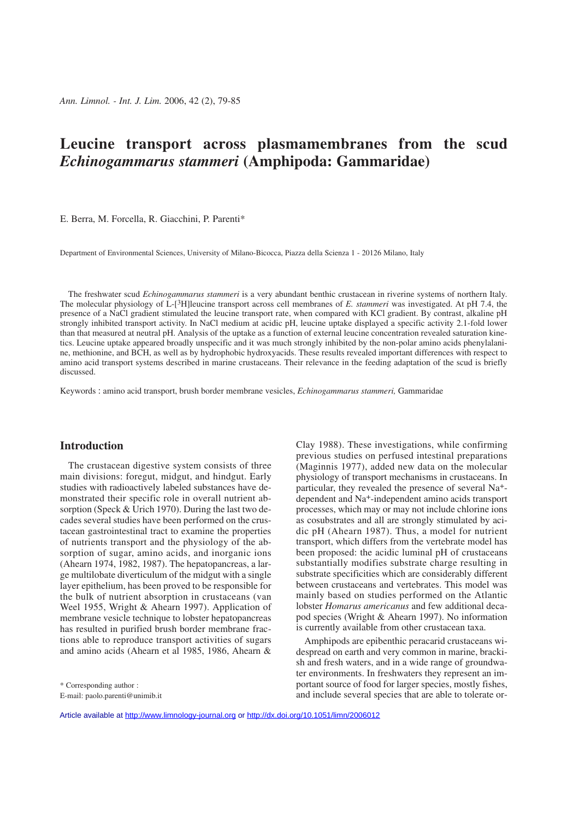# **Leucine transport across plasmamembranes from the scud** *Echinogammarus stammeri* **(Amphipoda: Gammaridae)**

E. Berra, M. Forcella, R. Giacchini, P. Parenti\*

Department of Environmental Sciences, University of Milano-Bicocca, Piazza della Scienza 1 - 20126 Milano, Italy

The freshwater scud *Echinogammarus stammeri* is a very abundant benthic crustacean in riverine systems of northern Italy. The molecular physiology of L-[3H]leucine transport across cell membranes of *E. stammeri* was investigated. At pH 7.4, the presence of a NaCl gradient stimulated the leucine transport rate, when compared with KCl gradient. By contrast, alkaline pH strongly inhibited transport activity. In NaCl medium at acidic pH, leucine uptake displayed a specific activity 2.1-fold lower than that measured at neutral pH. Analysis of the uptake as a function of external leucine concentration revealed saturation kinetics. Leucine uptake appeared broadly unspecific and it was much strongly inhibited by the non-polar amino acids phenylalanine, methionine, and BCH, as well as by hydrophobic hydroxyacids. These results revealed important differences with respect to amino acid transport systems described in marine crustaceans. Their relevance in the feeding adaptation of the scud is briefly discussed.

Keywords : amino acid transport, brush border membrane vesicles, *Echinogammarus stammeri,* Gammaridae

# **Introduction**

The crustacean digestive system consists of three main divisions: foregut, midgut, and hindgut. Early studies with radioactively labeled substances have demonstrated their specific role in overall nutrient absorption (Speck & Urich 1970). During the last two decades several studies have been performed on the crustacean gastrointestinal tract to examine the properties of nutrients transport and the physiology of the absorption of sugar, amino acids, and inorganic ions (Ahearn 1974, 1982, 1987). The hepatopancreas, a large multilobate diverticulum of the midgut with a single layer epithelium, has been proved to be responsible for the bulk of nutrient absorption in crustaceans (van Weel 1955, Wright & Ahearn 1997). Application of membrane vesicle technique to lobster hepatopancreas has resulted in purified brush border membrane fractions able to reproduce transport activities of sugars and amino acids (Ahearn et al 1985, 1986, Ahearn &

Clay 1988). These investigations, while confirming previous studies on perfused intestinal preparations (Maginnis 1977), added new data on the molecular physiology of transport mechanisms in crustaceans. In particular, they revealed the presence of several Na+ dependent and Na+-independent amino acids transport processes, which may or may not include chlorine ions as cosubstrates and all are strongly stimulated by acidic pH (Ahearn 1987). Thus, a model for nutrient transport, which differs from the vertebrate model has been proposed: the acidic luminal pH of crustaceans substantially modifies substrate charge resulting in substrate specificities which are considerably different between crustaceans and vertebrates. This model was mainly based on studies performed on the Atlantic lobster *Homarus americanus* and few additional decapod species (Wright & Ahearn 1997). No information is currently available from other crustacean taxa.

Amphipods are epibenthic peracarid crustaceans widespread on earth and very common in marine, brackish and fresh waters, and in a wide range of groundwater environments. In freshwaters they represent an important source of food for larger species, mostly fishes, and include several species that are able to tolerate or-

<sup>\*</sup> Corresponding author :

E-mail: paolo.parenti@unimib.it

Article available at <http://www.limnology-journal.org> or <http://dx.doi.org/10.1051/limn/2006012>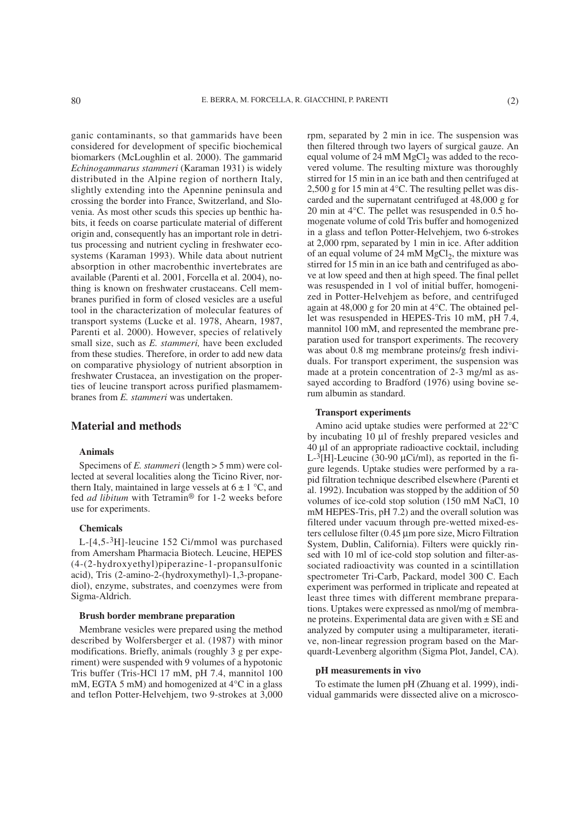ganic contaminants, so that gammarids have been considered for development of specific biochemical biomarkers (McLoughlin et al. 2000). The gammarid *Echinogammarus stammeri* (Karaman 1931) is widely distributed in the Alpine region of northern Italy, slightly extending into the Apennine peninsula and crossing the border into France, Switzerland, and Slovenia. As most other scuds this species up benthic habits, it feeds on coarse particulate material of different origin and, consequently has an important role in detritus processing and nutrient cycling in freshwater ecosystems (Karaman 1993). While data about nutrient absorption in other macrobenthic invertebrates are available (Parenti et al. 2001, Forcella et al. 2004), nothing is known on freshwater crustaceans. Cell membranes purified in form of closed vesicles are a useful tool in the characterization of molecular features of transport systems (Lucke et al. 1978, Ahearn, 1987, Parenti et al. 2000). However, species of relatively small size, such as *E. stammeri,* have been excluded from these studies. Therefore, in order to add new data on comparative physiology of nutrient absorption in freshwater Crustacea, an investigation on the properties of leucine transport across purified plasmamembranes from *E. stammeri* was undertaken.

## **Material and methods**

## **Animals**

Specimens of *E. stammeri* (length > 5 mm) were collected at several localities along the Ticino River, northern Italy, maintained in large vessels at  $6 \pm 1$  °C, and fed *ad libitum* with Tetramin® for 1-2 weeks before use for experiments.

### **Chemicals**

L-[4,5-3H]-leucine 152 Ci/mmol was purchased from Amersham Pharmacia Biotech. Leucine, HEPES (4-(2-hydroxyethyl)piperazine-1-propansulfonic acid), Tris (2-amino-2-(hydroxymethyl)-1,3-propanediol), enzyme, substrates, and coenzymes were from Sigma-Aldrich.

#### **Brush border membrane preparation**

Membrane vesicles were prepared using the method described by Wolfersberger et al. (1987) with minor modifications. Briefly, animals (roughly 3 g per experiment) were suspended with 9 volumes of a hypotonic Tris buffer (Tris-HCl 17 mM, pH 7.4, mannitol 100 mM, EGTA 5 mM) and homogenized at 4°C in a glass and teflon Potter-Helvehjem, two 9-strokes at 3,000 rpm, separated by 2 min in ice. The suspension was then filtered through two layers of surgical gauze. An equal volume of 24 mM  $MgCl<sub>2</sub>$  was added to the recovered volume. The resulting mixture was thoroughly stirred for 15 min in an ice bath and then centrifuged at 2,500 g for 15 min at 4°C. The resulting pellet was discarded and the supernatant centrifuged at 48,000 g for 20 min at 4°C. The pellet was resuspended in 0.5 homogenate volume of cold Tris buffer and homogenized in a glass and teflon Potter-Helvehjem, two 6-strokes at 2,000 rpm, separated by 1 min in ice. After addition of an equal volume of 24 mM  $MgCl<sub>2</sub>$ , the mixture was stirred for 15 min in an ice bath and centrifuged as above at low speed and then at high speed. The final pellet was resuspended in 1 vol of initial buffer, homogenized in Potter-Helvehjem as before, and centrifuged again at 48,000 g for 20 min at 4°C. The obtained pellet was resuspended in HEPES-Tris 10 mM, pH 7.4, mannitol 100 mM, and represented the membrane preparation used for transport experiments. The recovery was about 0.8 mg membrane proteins/g fresh individuals. For transport experiment, the suspension was made at a protein concentration of 2-3 mg/ml as assayed according to Bradford (1976) using bovine serum albumin as standard.

## **Transport experiments**

Amino acid uptake studies were performed at 22°C by incubating 10 µl of freshly prepared vesicles and 40 µl of an appropriate radioactive cocktail, including L- ${}^{3}$ [H]-Leucine (30-90 µCi/ml), as reported in the figure legends. Uptake studies were performed by a rapid filtration technique described elsewhere (Parenti et al. 1992). Incubation was stopped by the addition of 50 volumes of ice-cold stop solution (150 mM NaCl, 10 mM HEPES-Tris, pH 7.2) and the overall solution was filtered under vacuum through pre-wetted mixed-esters cellulose filter (0.45 µm pore size, Micro Filtration System, Dublin, California). Filters were quickly rinsed with 10 ml of ice-cold stop solution and filter-associated radioactivity was counted in a scintillation spectrometer Tri-Carb, Packard, model 300 C. Each experiment was performed in triplicate and repeated at least three times with different membrane preparations. Uptakes were expressed as nmol/mg of membrane proteins. Experimental data are given with  $\pm$  SE and analyzed by computer using a multiparameter, iterative, non-linear regression program based on the Marquardt-Levenberg algorithm (Sigma Plot, Jandel, CA).

#### **pH measurements in vivo**

To estimate the lumen pH (Zhuang et al. 1999), individual gammarids were dissected alive on a microsco-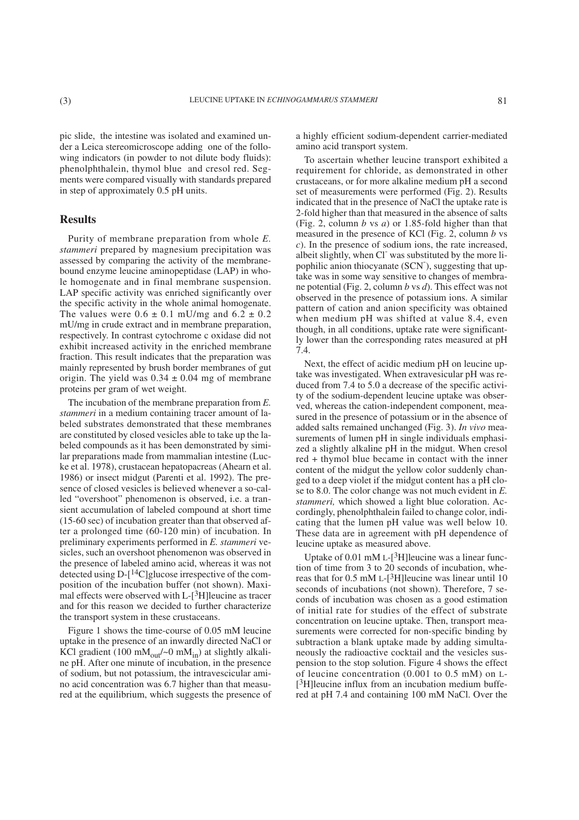pic slide, the intestine was isolated and examined under a Leica stereomicroscope adding one of the following indicators (in powder to not dilute body fluids): phenolphthalein, thymol blue and cresol red. Segments were compared visually with standards prepared in step of approximately 0.5 pH units.

# **Results**

Purity of membrane preparation from whole *E. stammeri* prepared by magnesium precipitation was assessed by comparing the activity of the membranebound enzyme leucine aminopeptidase (LAP) in whole homogenate and in final membrane suspension. LAP specific activity was enriched significantly over the specific activity in the whole animal homogenate. The values were  $0.6 \pm 0.1$  mU/mg and  $6.2 \pm 0.2$ mU/mg in crude extract and in membrane preparation, respectively. In contrast cytochrome c oxidase did not exhibit increased activity in the enriched membrane fraction. This result indicates that the preparation was mainly represented by brush border membranes of gut origin. The yield was  $0.34 \pm 0.04$  mg of membrane proteins per gram of wet weight.

The incubation of the membrane preparation from *E. stammeri* in a medium containing tracer amount of labeled substrates demonstrated that these membranes are constituted by closed vesicles able to take up the labeled compounds as it has been demonstrated by similar preparations made from mammalian intestine (Lucke et al. 1978), crustacean hepatopacreas (Ahearn et al. 1986) or insect midgut (Parenti et al. 1992). The presence of closed vesicles is believed whenever a so-called "overshoot" phenomenon is observed, i.e. a transient accumulation of labeled compound at short time (15-60 sec) of incubation greater than that observed after a prolonged time (60-120 min) of incubation. In preliminary experiments performed in *E. stammeri* vesicles, such an overshoot phenomenon was observed in the presence of labeled amino acid, whereas it was not detected using D-[14C]glucose irrespective of the composition of the incubation buffer (not shown). Maximal effects were observed with L-[3H]leucine as tracer and for this reason we decided to further characterize the transport system in these crustaceans.

Figure 1 shows the time-course of 0.05 mM leucine uptake in the presence of an inwardly directed NaCl or KCl gradient (100 mM $_{\text{out}}$ /~0 mM $_{\text{in}}$ ) at slightly alkaline pH. After one minute of incubation, in the presence of sodium, but not potassium, the intravescicular amino acid concentration was 6.7 higher than that measured at the equilibrium, which suggests the presence of a highly efficient sodium-dependent carrier-mediated amino acid transport system.

To ascertain whether leucine transport exhibited a requirement for chloride, as demonstrated in other crustaceans, or for more alkaline medium pH a second set of measurements were performed (Fig. 2). Results indicated that in the presence of NaCl the uptake rate is 2-fold higher than that measured in the absence of salts (Fig. 2, column *b* vs *a*) or 1.85-fold higher than that measured in the presence of KCl (Fig. 2, column *b* vs *c*). In the presence of sodium ions, the rate increased, albeit slightly, when Cl<sup>-</sup> was substituted by the more lipophilic anion thiocyanate (SCN<sup>-</sup>), suggesting that uptake was in some way sensitive to changes of membrane potential (Fig. 2, column *b* vs *d*). This effect was not observed in the presence of potassium ions. A similar pattern of cation and anion specificity was obtained when medium pH was shifted at value 8.4, even though, in all conditions, uptake rate were significantly lower than the corresponding rates measured at pH  $7A$ 

Next, the effect of acidic medium pH on leucine uptake was investigated. When extravesicular pH was reduced from 7.4 to 5.0 a decrease of the specific activity of the sodium-dependent leucine uptake was observed, whereas the cation-independent component, measured in the presence of potassium or in the absence of added salts remained unchanged (Fig. 3). *In vivo* measurements of lumen pH in single individuals emphasized a slightly alkaline pH in the midgut. When cresol red + thymol blue became in contact with the inner content of the midgut the yellow color suddenly changed to a deep violet if the midgut content has a pH close to 8.0. The color change was not much evident in *E. stammeri,* which showed a light blue coloration. Accordingly, phenolphthalein failed to change color, indicating that the lumen pH value was well below 10. These data are in agreement with pH dependence of leucine uptake as measured above.

Uptake of 0.01 mM L- $[3H]$ leucine was a linear function of time from 3 to 20 seconds of incubation, whereas that for  $0.5 \text{ mM L}$ -[<sup>3</sup>H]leucine was linear until 10 seconds of incubations (not shown). Therefore, 7 seconds of incubation was chosen as a good estimation of initial rate for studies of the effect of substrate concentration on leucine uptake. Then, transport measurements were corrected for non-specific binding by subtraction a blank uptake made by adding simultaneously the radioactive cocktail and the vesicles suspension to the stop solution. Figure 4 shows the effect of leucine concentration (0.001 to 0.5 mM) on L- [3H]leucine influx from an incubation medium buffered at pH 7.4 and containing 100 mM NaCl. Over the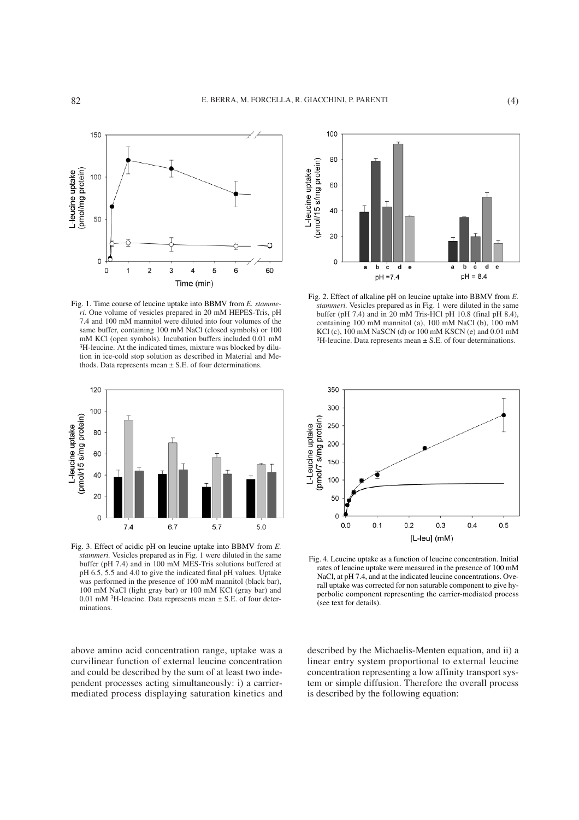

Fig. 1. Time course of leucine uptake into BBMV from *E. stammeri.* One volume of vesicles prepared in 20 mM HEPES-Tris, pH 7.4 and 100 mM mannitol were diluted into four volumes of the same buffer, containing 100 mM NaCl (closed symbols) or 100 mM KCl (open symbols). Incubation buffers included 0.01 mM <sup>3</sup>H-leucine. At the indicated times, mixture was blocked by dilution in ice-cold stop solution as described in Material and Methods. Data represents mean  $\pm$  S.E. of four determinations.



Fig. 3. Effect of acidic pH on leucine uptake into BBMV from *E. stammeri.* Vesicles prepared as in Fig. 1 were diluted in the same buffer (pH 7.4) and in 100 mM MES-Tris solutions buffered at pH 6.5, 5.5 and 4.0 to give the indicated final pH values. Uptake was performed in the presence of 100 mM mannitol (black bar), 100 mM NaCl (light gray bar) or 100 mM KCl (gray bar) and 0.01 mM  ${}^{3}$ H-leucine. Data represents mean  $\pm$  S.E. of four determinations.

above amino acid concentration range, uptake was a curvilinear function of external leucine concentration and could be described by the sum of at least two independent processes acting simultaneously: i) a carriermediated process displaying saturation kinetics and



Fig. 2. Effect of alkaline pH on leucine uptake into BBMV from *E. stammeri*. Vesicles prepared as in Fig. 1 were diluted in the same buffer (pH 7.4) and in 20 mM Tris-HCl pH 10.8 (final pH 8.4), containing 100 mM mannitol (a), 100 mM NaCl (b), 100 mM KCl (c), 100 mM NaSCN (d) or 100 mM KSCN (e) and 0.01 mM  $3H$ -leucine. Data represents mean  $\pm$  S.E. of four determinations.



Fig. 4. Leucine uptake as a function of leucine concentration. Initial rates of leucine uptake were measured in the presence of 100 mM NaCl, at pH 7.4, and at the indicated leucine concentrations. Overall uptake was corrected for non saturable component to give hyperbolic component representing the carrier-mediated process (see text for details).

described by the Michaelis-Menten equation, and ii) a linear entry system proportional to external leucine concentration representing a low affinity transport system or simple diffusion. Therefore the overall process is described by the following equation: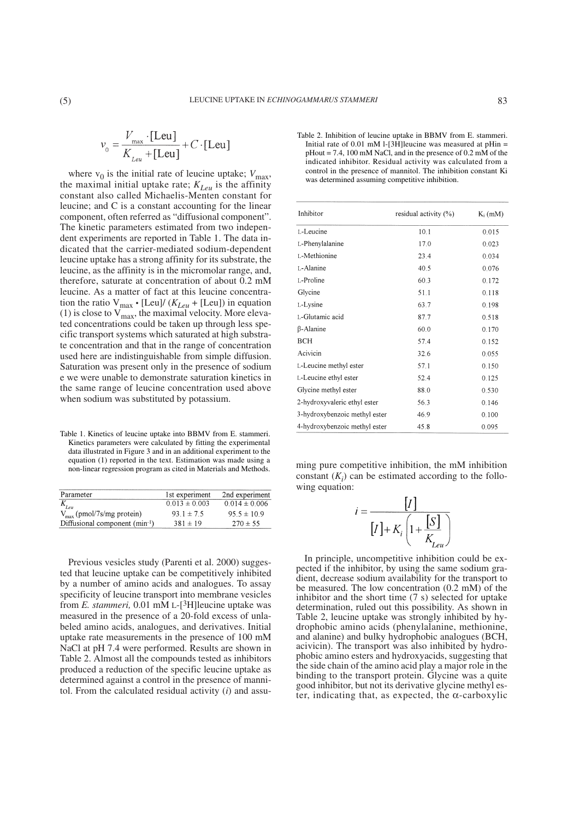where  $v_0$  is the initial rate of leucine uptake;  $V_{\text{max}}$ , the maximal initial uptake rate;  $K_{Leu}$  is the affinity constant also called Michaelis-Menten constant for leucine; and C is a constant accounting for the linear component, often referred as "diffusional component". The kinetic parameters estimated from two independent experiments are reported in Table 1. The data indicated that the carrier-mediated sodium-dependent leucine uptake has a strong affinity for its substrate, the leucine, as the affinity is in the micromolar range, and, therefore, saturate at concentration of about 0.2 mM leucine. As a matter of fact at this leucine concentration the ratio  $V_{\text{max}} \cdot$  [Leu]/ ( $K_{Leu}$  + [Leu]) in equation (1) is close to  $V_{\text{max}}$ , the maximal velocity. More elevated concentrations could be taken up through less specific transport systems which saturated at high substrate concentration and that in the range of concentration used here are indistinguishable from simple diffusion. Saturation was present only in the presence of sodium e we were unable to demonstrate saturation kinetics in the same range of leucine concentration used above when sodium was substituted by potassium.

Table 1. Kinetics of leucine uptake into BBMV from E. stammeri. Kinetics parameters were calculated by fitting the experimental data illustrated in Figure 3 and in an additional experiment to the equation (1) reported in the text. Estimation was made using a non-linear regression program as cited in Materials and Methods.

| Parameter                             | 1st experiment    | 2nd experiment    |
|---------------------------------------|-------------------|-------------------|
| $r_{leu}$                             | $0.013 \pm 0.003$ | $0.014 \pm 0.006$ |
| $V_{\text{max}}$ (pmol/7s/mg protein) | $931 \pm 75$      | $95.5 \pm 10.9$   |
| Diffusional component (min-1)         | $381 \pm 19$      | $270 \pm 55$      |

Previous vesicles study (Parenti et al. 2000) suggested that leucine uptake can be competitively inhibited by a number of amino acids and analogues. To assay specificity of leucine transport into membrane vesicles from *E. stammeri,* 0.01 mM L-[3H]leucine uptake was measured in the presence of a 20-fold excess of unlabeled amino acids, analogues, and derivatives. Initial uptake rate measurements in the presence of 100 mM NaCl at pH 7.4 were performed. Results are shown in Table 2. Almost all the compounds tested as inhibitors produced a reduction of the specific leucine uptake as determined against a control in the presence of mannitol. From the calculated residual activity (*i*) and assu-

Table 2. Inhibition of leucine uptake in BBMV from E. stammeri. Initial rate of 0.01 mM l-[3H]leucine was measured at pHin =  $pHout = 7.4$ , 100 mM NaCl, and in the presence of 0.2 mM of the indicated inhibitor. Residual activity was calculated from a control in the presence of mannitol. The inhibition constant Ki was determined assuming competitive inhibition.

| Inhibitor                     | residual activity $(\%)$ | $K_i$ (mM) |
|-------------------------------|--------------------------|------------|
|                               |                          |            |
| L-Leucine                     | 10.1                     | 0.015      |
| L-Phenylalanine               | 17.0                     | 0.023      |
| L-Methionine                  | 23.4                     | 0.034      |
| L-Alanine                     | 40.5                     | 0.076      |
| L-Proline                     | 60.3                     | 0.172      |
| Glycine                       | 51.1                     | 0.118      |
| L-Lysine                      | 63.7                     | 0.198      |
| L-Glutamic acid               | 87.7                     | 0.518      |
| β-Alanine                     | 60.0                     | 0.170      |
| BCH                           | 57.4                     | 0.152      |
| Acivicin                      | 32.6                     | 0.055      |
| L-Leucine methyl ester        | 57.1                     | 0.150      |
| L-Leucine ethyl ester         | 52.4                     | 0.125      |
| Glycine methyl ester          | 88.0                     | 0.530      |
| 2-hydroxyvaleric ethyl ester  | 56.3                     | 0.146      |
| 3-hydroxybenzoic methyl ester | 46.9                     | 0.100      |
| 4-hydroxybenzoic methyl ester | 45.8                     | 0.095      |

ming pure competitive inhibition, the mM inhibition constant  $(K_i)$  can be estimated according to the following equation:

$$
i = \frac{\begin{bmatrix} I \end{bmatrix}}{\begin{bmatrix} I \end{bmatrix} + K_i \begin{bmatrix} 1 + \frac{\begin{bmatrix} S \end{bmatrix}}{K_{Leu}} \end{bmatrix}}
$$

In principle, uncompetitive inhibition could be expected if the inhibitor, by using the same sodium gradient, decrease sodium availability for the transport to be measured. The low concentration (0.2 mM) of the inhibitor and the short time (7 s) selected for uptake determination, ruled out this possibility. As shown in Table 2, leucine uptake was strongly inhibited by hydrophobic amino acids (phenylalanine, methionine, and alanine) and bulky hydrophobic analogues (BCH, acivicin). The transport was also inhibited by hydrophobic amino esters and hydroxyacids, suggesting that the side chain of the amino acid play a major role in the binding to the transport protein. Glycine was a quite good inhibitor, but not its derivative glycine methyl ester, indicating that, as expected, the  $\alpha$ -carboxylic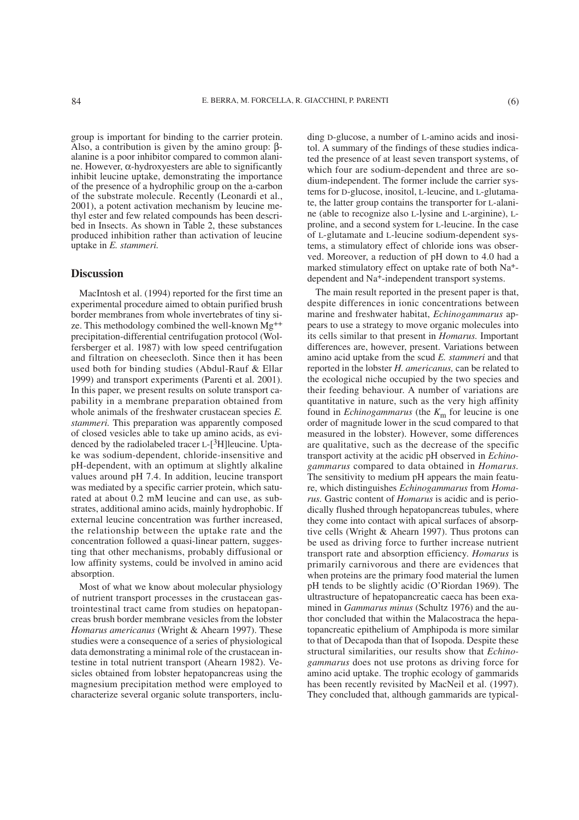group is important for binding to the carrier protein. Also, a contribution is given by the amino group: βalanine is a poor inhibitor compared to common alanine. However, α-hydroxyesters are able to significantly inhibit leucine uptake, demonstrating the importance of the presence of a hydrophilic group on the a-carbon of the substrate molecule. Recently (Leonardi et al., 2001), a potent activation mechanism by leucine methyl ester and few related compounds has been described in Insects. As shown in Table 2, these substances produced inhibition rather than activation of leucine uptake in *E. stammeri.*

# **Discussion**

MacIntosh et al. (1994) reported for the first time an experimental procedure aimed to obtain purified brush border membranes from whole invertebrates of tiny size. This methodology combined the well-known Mg++ precipitation-differential centrifugation protocol (Wolfersberger et al. 1987) with low speed centrifugation and filtration on cheesecloth. Since then it has been used both for binding studies (Abdul-Rauf & Ellar 1999) and transport experiments (Parenti et al. 2001). In this paper, we present results on solute transport capability in a membrane preparation obtained from whole animals of the freshwater crustacean species *E. stammeri.* This preparation was apparently composed of closed vesicles able to take up amino acids, as evidenced by the radiolabeled tracer  $L$ -[ $3H$ ]leucine. Uptake was sodium-dependent, chloride-insensitive and pH-dependent, with an optimum at slightly alkaline values around pH 7.4. In addition, leucine transport was mediated by a specific carrier protein, which saturated at about 0.2 mM leucine and can use, as substrates, additional amino acids, mainly hydrophobic. If external leucine concentration was further increased, the relationship between the uptake rate and the concentration followed a quasi-linear pattern, suggesting that other mechanisms, probably diffusional or low affinity systems, could be involved in amino acid absorption.

Most of what we know about molecular physiology of nutrient transport processes in the crustacean gastrointestinal tract came from studies on hepatopancreas brush border membrane vesicles from the lobster *Homarus americanus* (Wright & Ahearn 1997). These studies were a consequence of a series of physiological data demonstrating a minimal role of the crustacean intestine in total nutrient transport (Ahearn 1982). Vesicles obtained from lobster hepatopancreas using the magnesium precipitation method were employed to characterize several organic solute transporters, including D-glucose, a number of L-amino acids and inositol. A summary of the findings of these studies indicated the presence of at least seven transport systems, of which four are sodium-dependent and three are sodium-independent. The former include the carrier systems for D-glucose, inositol, L-leucine, and L-glutamate, the latter group contains the transporter for L-alanine (able to recognize also L-lysine and L-arginine), Lproline, and a second system for L-leucine. In the case of L-glutamate and L-leucine sodium-dependent systems, a stimulatory effect of chloride ions was observed. Moreover, a reduction of pH down to 4.0 had a marked stimulatory effect on uptake rate of both Na+ dependent and Na+-independent transport systems.

The main result reported in the present paper is that, despite differences in ionic concentrations between marine and freshwater habitat, *Echinogammarus* appears to use a strategy to move organic molecules into its cells similar to that present in *Homarus.* Important differences are, however, present. Variations between amino acid uptake from the scud *E. stammeri* and that reported in the lobster *H. americanus,* can be related to the ecological niche occupied by the two species and their feeding behaviour. A number of variations are quantitative in nature, such as the very high affinity found in *Echinogammarus* (the  $K<sub>m</sub>$  for leucine is one order of magnitude lower in the scud compared to that measured in the lobster). However, some differences are qualitative, such as the decrease of the specific transport activity at the acidic pH observed in *Echinogammarus* compared to data obtained in *Homarus.* The sensitivity to medium pH appears the main feature, which distinguishes *Echinogammarus* from *Homarus.* Gastric content of *Homarus* is acidic and is periodically flushed through hepatopancreas tubules, where they come into contact with apical surfaces of absorptive cells (Wright & Ahearn 1997). Thus protons can be used as driving force to further increase nutrient transport rate and absorption efficiency. *Homarus* is primarily carnivorous and there are evidences that when proteins are the primary food material the lumen pH tends to be slightly acidic (O'Riordan 1969). The ultrastructure of hepatopancreatic caeca has been examined in *Gammarus minus* (Schultz 1976) and the author concluded that within the Malacostraca the hepatopancreatic epithelium of Amphipoda is more similar to that of Decapoda than that of Isopoda. Despite these structural similarities, our results show that *Echinogammarus* does not use protons as driving force for amino acid uptake. The trophic ecology of gammarids has been recently revisited by MacNeil et al. (1997). They concluded that, although gammarids are typical-